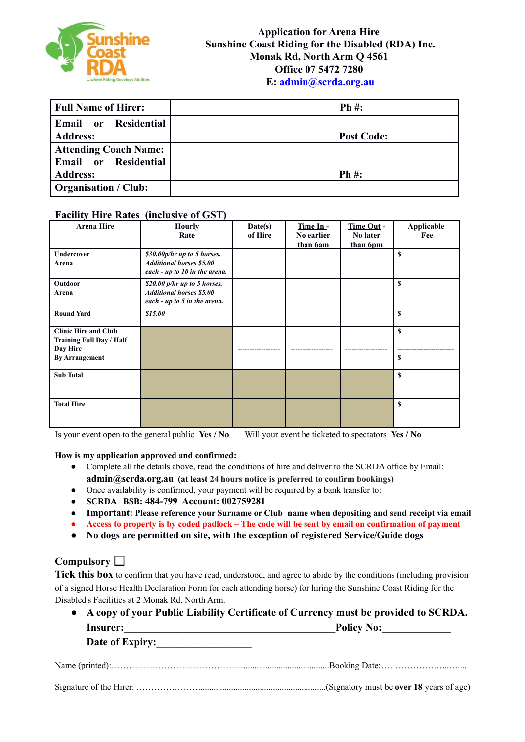

| <b>Full Name of Hirer:</b>   | $Ph#$ :           |
|------------------------------|-------------------|
| Email or Residential         |                   |
| <b>Address:</b>              | <b>Post Code:</b> |
| <b>Attending Coach Name:</b> |                   |
| Email or Residential         |                   |
| <b>Address:</b>              | $Ph#$ :           |
| <b>Organisation / Club:</b>  |                   |

#### **Facility Hire Rates (inclusive of GST)**

| <b>Arena Hire</b>                                                                            | <b>Hourly</b><br>Rate                                                                            | Date(s)<br>of Hire | Time In-<br>No earlier<br>than 6am | Time Out -<br>No later<br>than 6pm | Applicable<br>Fee |
|----------------------------------------------------------------------------------------------|--------------------------------------------------------------------------------------------------|--------------------|------------------------------------|------------------------------------|-------------------|
| Undercover<br>Arena                                                                          | \$30.00p/hr up to 5 horses.<br><b>Additional horses \$5.00</b><br>each - up to 10 in the arena.  |                    |                                    |                                    | S                 |
| <b>Outdoor</b><br>Arena                                                                      | $$20.00$ p/hr up to 5 horses.<br><b>Additional horses \$5.00</b><br>each - up to 5 in the arena. |                    |                                    |                                    | $\mathbf{s}$      |
| <b>Round Yard</b>                                                                            | \$15.00                                                                                          |                    |                                    |                                    | S                 |
| <b>Clinic Hire and Club</b><br>Training Full Day / Half<br>Day Hire<br><b>By Arrangement</b> |                                                                                                  |                    |                                    |                                    | $\mathbf{s}$<br>S |
| <b>Sub Total</b>                                                                             |                                                                                                  |                    |                                    |                                    | $\mathbf{s}$      |
| <b>Total Hire</b>                                                                            |                                                                                                  |                    |                                    |                                    | S                 |

Is your event open to the general public **Yes / No** Will your event be ticketed to spectators **Yes / No**

#### **How is my application approved and confirmed:**

- **●** Complete all the details above, read the conditions of hire and deliver to the SCRDA office by Email: **[admin@scrda.org.au](mailto:admin@scrda.org.au) (at least 24 hours notice is preferred to confirm bookings)**
- **●** Once availability is confirmed, your payment will be required by a bank transfer to:
- **SCRDA BSB: 484-799 Account: 002759281**
- **● Important: Please reference your Surname or Club name when depositing and send receipt via email**
- Access to property is by coded padlock The code will be sent by email on confirmation of payment
- **No dogs are permitted on site, with the exception of registered Service/Guide dogs**

#### **Compulsory**

Tick this box to confirm that you have read, understood, and agree to abide by the conditions (including provision of a signed Horse Health Declaration Form for each attending horse) for hiring the Sunshine Coast Riding for the Disabled's Facilities at 2 Monak Rd, North Arm.

|                 | • A copy of your Public Liability Certificate of Currency must be provided to SCRDA. |
|-----------------|--------------------------------------------------------------------------------------|
| Insurer:        | <b>Policy No:</b>                                                                    |
| Date of Expiry: |                                                                                      |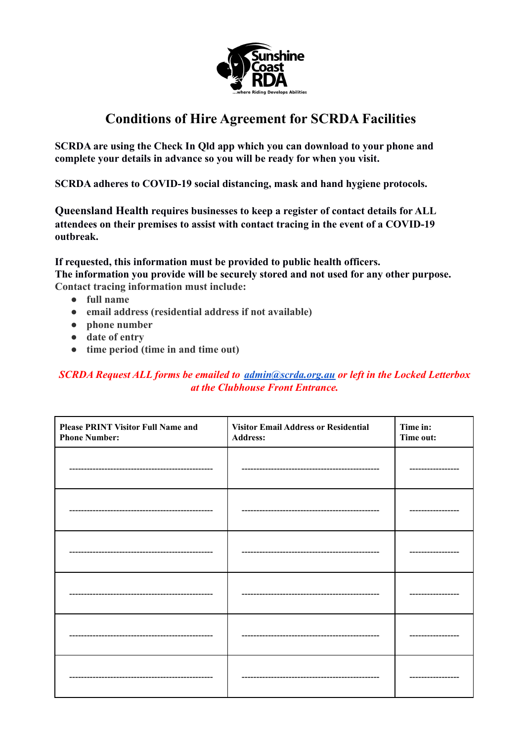

**SCRDA are using the Check In Qld app which you can download to your phone and complete your details in advance so you will be ready for when you visit.**

**SCRDA adheres to COVID-19 social distancing, mask and hand hygiene protocols.**

**Queensland Health requires businesses to keep a register of contact details for ALL attendees on their premises to assist with contact tracing in the event of a COVID-19 outbreak.**

**If requested, this information must be provided to public health officers. The information you provide will be securely stored and not used for any other purpose. Contact tracing information must include:**

- **● full name**
- **● email address (residential address if not available)**
- **● phone number**
- **● date of entry**
- **● time period (time in and time out)**

*SCRDA Request ALL forms be emailed to [admin@scrda.org.au](mailto:admin@scrda.org.au) or left in the Locked Letterbox at the Clubhouse Front Entrance.*

| <b>Please PRINT Visitor Full Name and</b><br><b>Phone Number:</b> | <b>Visitor Email Address or Residential</b><br><b>Address:</b> | Time in:<br>Time out: |
|-------------------------------------------------------------------|----------------------------------------------------------------|-----------------------|
|                                                                   |                                                                | ---------             |
|                                                                   |                                                                |                       |
|                                                                   |                                                                |                       |
|                                                                   |                                                                |                       |
|                                                                   |                                                                |                       |
|                                                                   |                                                                |                       |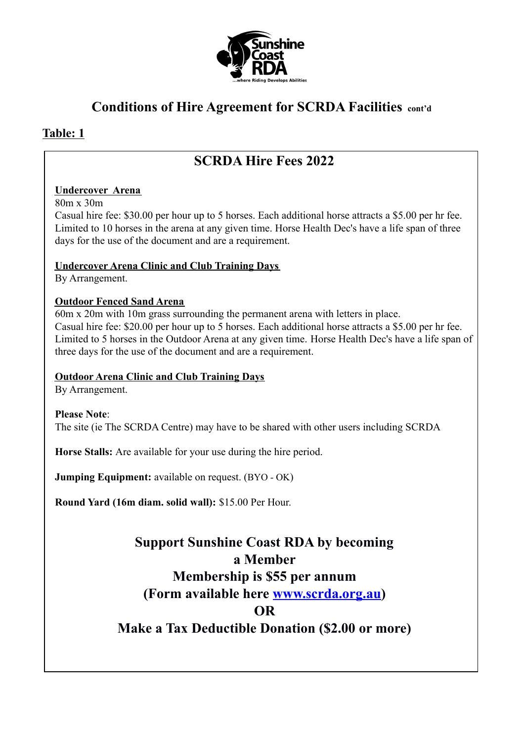

### **Table: 1**

## **SCRDA Hire Fees 2022**

#### **Undercover Arena**

80m x 30m

Casual hire fee: \$30.00 per hour up to 5 horses. Each additional horse attracts a \$5.00 per hr fee. Limited to 10 horses in the arena at any given time. Horse Health Dec's have a life span of three days for the use of the document and are a requirement.

#### **Undercover Arena Clinic and Club Training Days**

By Arrangement.

#### **Outdoor Fenced Sand Arena**

60m x 20m with 10m grass surrounding the permanent arena with letters in place. Casual hire fee: \$20.00 per hour up to 5 horses. Each additional horse attracts a \$5.00 per hr fee. Limited to 5 horses in the Outdoor Arena at any given time. Horse Health Dec's have a life span of three days for the use of the document and are a requirement.

#### **Outdoor Arena Clinic and Club Training Days**

By Arrangement.

#### **Please Note**:

The site (ie The SCRDA Centre) may have to be shared with other users including SCRDA

**Horse Stalls:** Are available for your use during the hire period.

**Jumping Equipment:** available on request. (BYO - OK)

**Round Yard (16m diam. solid wall):** \$15.00 Per Hour.

# **Support Sunshine Coast RDA by becoming a Member Membership is \$55 per annum (Form available here [www.scrda.org.au\)](https://scrda.org.au/) OR**

**Make a Tax Deductible Donation (\$2.00 or more)**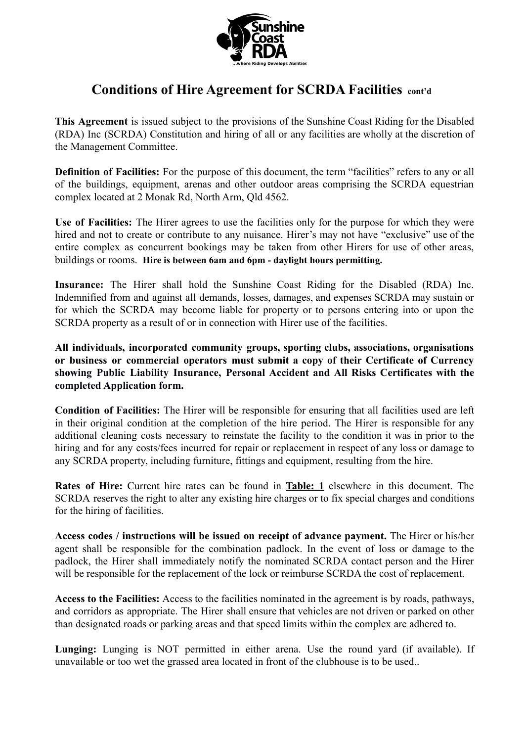

**This Agreement** is issued subject to the provisions of the Sunshine Coast Riding for the Disabled (RDA) Inc (SCRDA) Constitution and hiring of all or any facilities are wholly at the discretion of the Management Committee.

**Definition of Facilities:** For the purpose of this document, the term "facilities" refers to any or all of the buildings, equipment, arenas and other outdoor areas comprising the SCRDA equestrian complex located at 2 Monak Rd, North Arm, Qld 4562.

**Use of Facilities:** The Hirer agrees to use the facilities only for the purpose for which they were hired and not to create or contribute to any nuisance. Hirer's may not have "exclusive" use of the entire complex as concurrent bookings may be taken from other Hirers for use of other areas, buildings or rooms. **Hire is between 6am and 6pm - daylight hours permitting.**

**Insurance:** The Hirer shall hold the Sunshine Coast Riding for the Disabled (RDA) Inc. Indemnified from and against all demands, losses, damages, and expenses SCRDA may sustain or for which the SCRDA may become liable for property or to persons entering into or upon the SCRDA property as a result of or in connection with Hirer use of the facilities.

**All individuals, incorporated community groups, sporting clubs, associations, organisations or business or commercial operators must submit a copy of their Certificate of Currency showing Public Liability Insurance, Personal Accident and All Risks Certificates with the completed Application form.**

**Condition of Facilities:** The Hirer will be responsible for ensuring that all facilities used are left in their original condition at the completion of the hire period. The Hirer is responsible for any additional cleaning costs necessary to reinstate the facility to the condition it was in prior to the hiring and for any costs/fees incurred for repair or replacement in respect of any loss or damage to any SCRDA property, including furniture, fittings and equipment, resulting from the hire.

**Rates of Hire:** Current hire rates can be found in **Table: 1** elsewhere in this document. The SCRDA reserves the right to alter any existing hire charges or to fix special charges and conditions for the hiring of facilities.

**Access codes / instructions will be issued on receipt of advance payment.** The Hirer or his/her agent shall be responsible for the combination padlock. In the event of loss or damage to the padlock, the Hirer shall immediately notify the nominated SCRDA contact person and the Hirer will be responsible for the replacement of the lock or reimburse SCRDA the cost of replacement.

**Access to the Facilities:** Access to the facilities nominated in the agreement is by roads, pathways, and corridors as appropriate. The Hirer shall ensure that vehicles are not driven or parked on other than designated roads or parking areas and that speed limits within the complex are adhered to.

**Lunging:** Lunging is NOT permitted in either arena. Use the round yard (if available). If unavailable or too wet the grassed area located in front of the clubhouse is to be used..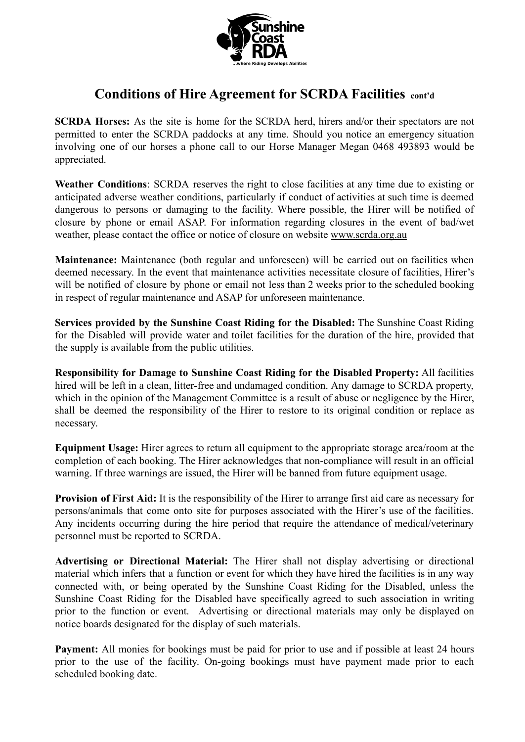

**SCRDA Horses:** As the site is home for the SCRDA herd, hirers and/or their spectators are not permitted to enter the SCRDA paddocks at any time. Should you notice an emergency situation involving one of our horses a phone call to our Horse Manager Megan 0468 493893 would be appreciated.

**Weather Conditions**: SCRDA reserves the right to close facilities at any time due to existing or anticipated adverse weather conditions, particularly if conduct of activities at such time is deemed dangerous to persons or damaging to the facility. Where possible, the Hirer will be notified of closure by phone or email ASAP. For information regarding closures in the event of bad/wet weather, please contact the office or notice of closure on website www.scrda.org.au

**Maintenance:** Maintenance (both regular and unforeseen) will be carried out on facilities when deemed necessary. In the event that maintenance activities necessitate closure of facilities, Hirer's will be notified of closure by phone or email not less than 2 weeks prior to the scheduled booking in respect of regular maintenance and ASAP for unforeseen maintenance.

**Services provided by the Sunshine Coast Riding for the Disabled:** The Sunshine Coast Riding for the Disabled will provide water and toilet facilities for the duration of the hire, provided that the supply is available from the public utilities.

**Responsibility for Damage to Sunshine Coast Riding for the Disabled Property:** All facilities hired will be left in a clean, litter-free and undamaged condition. Any damage to SCRDA property, which in the opinion of the Management Committee is a result of abuse or negligence by the Hirer. shall be deemed the responsibility of the Hirer to restore to its original condition or replace as necessary.

**Equipment Usage:** Hirer agrees to return all equipment to the appropriate storage area/room at the completion of each booking. The Hirer acknowledges that non-compliance will result in an official warning. If three warnings are issued, the Hirer will be banned from future equipment usage.

**Provision of First Aid:** It is the responsibility of the Hirer to arrange first aid care as necessary for persons/animals that come onto site for purposes associated with the Hirer's use of the facilities. Any incidents occurring during the hire period that require the attendance of medical/veterinary personnel must be reported to SCRDA.

**Advertising or Directional Material:** The Hirer shall not display advertising or directional material which infers that a function or event for which they have hired the facilities is in any way connected with, or being operated by the Sunshine Coast Riding for the Disabled, unless the Sunshine Coast Riding for the Disabled have specifically agreed to such association in writing prior to the function or event. Advertising or directional materials may only be displayed on notice boards designated for the display of such materials.

**Payment:** All monies for bookings must be paid for prior to use and if possible at least 24 hours prior to the use of the facility. On-going bookings must have payment made prior to each scheduled booking date.